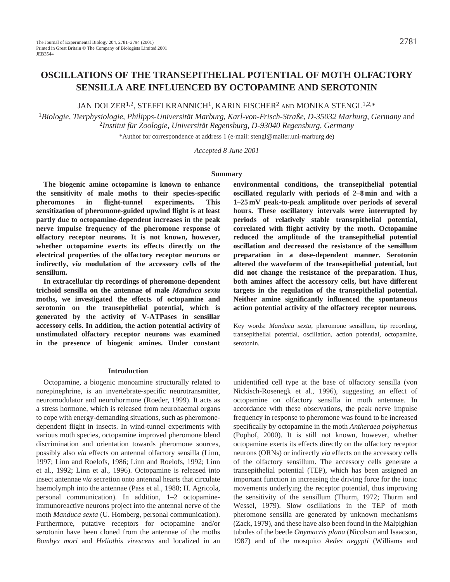JAN DOLZER<sup>1,2</sup>, STEFFI KRANNICH<sup>1</sup>, KARIN FISCHER<sup>2</sup> AND MONIKA STENGL<sup>1,2,\*</sup>

<sup>1</sup>*Biologie, Tierphysiologie, Philipps-Universität Marburg, Karl-von-Frisch-Straße, D-35032 Marburg, Germany* and <sup>2</sup>*Institut für Zoologie, Universität Regensburg, D-93040 Regensburg, Germany*

\*Author for correspondence at address 1 (e-mail: stengl@mailer.uni-marburg.de)

*Accepted 8 June 2001*

#### **Summary**

**The biogenic amine octopamine is known to enhance the sensitivity of male moths to their species-specific pheromones in flight-tunnel experiments. This sensitization of pheromone-guided upwind flight is at least partly due to octopamine-dependent increases in the peak nerve impulse frequency of the pheromone response of olfactory receptor neurons. It is not known, however, whether octopamine exerts its effects directly on the electrical properties of the olfactory receptor neurons or indirectly,** *via* **modulation of the accessory cells of the sensillum.**

**In extracellular tip recordings of pheromone-dependent trichoid sensilla on the antennae of male** *Manduca sexta* **moths, we investigated the effects of octopamine and serotonin on the transepithelial potential, which is generated by the activity of V-ATPases in sensillar accessory cells. In addition, the action potential activity of unstimulated olfactory receptor neurons was examined in the presence of biogenic amines. Under constant**

**environmental conditions, the transepithelial potential oscillated regularly with periods of 2–8 min and with a 1–25 mV peak-to-peak amplitude over periods of several hours. These oscillatory intervals were interrupted by periods of relatively stable transepithelial potential, correlated with flight activity by the moth. Octopamine reduced the amplitude of the transepithelial potential oscillation and decreased the resistance of the sensillum preparation in a dose-dependent manner. Serotonin altered the waveform of the transepithelial potential, but did not change the resistance of the preparation. Thus, both amines affect the accessory cells, but have different targets in the regulation of the transepithelial potential. Neither amine significantly influenced the spontaneous action potential activity of the olfactory receptor neurons.**

Key words: *Manduca sexta*, pheromone sensillum, tip recording, transepithelial potential, oscillation, action potential, octopamine, serotonin.

#### **Introduction**

Octopamine, a biogenic monoamine structurally related to norepinephrine, is an invertebrate-specific neurotransmitter, neuromodulator and neurohormone (Roeder, 1999). It acts as a stress hormone, which is released from neurohaemal organs to cope with energy-demanding situations, such as pheromonedependent flight in insects. In wind-tunnel experiments with various moth species, octopamine improved pheromone blend discrimination and orientation towards pheromone sources, possibly also *via* effects on antennal olfactory sensilla (Linn, 1997; Linn and Roelofs, 1986; Linn and Roelofs, 1992; Linn et al., 1992; Linn et al., 1996). Octopamine is released into insect antennae *via* secretion onto antennal hearts that circulate haemolymph into the antennae (Pass et al., 1988; H. Agricola, personal communication). In addition, 1–2 octopamineimmunoreactive neurons project into the antennal nerve of the moth *Manduca sexta* (U. Homberg, personal communication). Furthermore, putative receptors for octopamine and/or serotonin have been cloned from the antennae of the moths *Bombyx mori* and *Heliothis virescens* and localized in an

unidentified cell type at the base of olfactory sensilla (von Nickisch-Rosenegk et al., 1996), suggesting an effect of octopamine on olfactory sensilla in moth antennae. In accordance with these observations, the peak nerve impulse frequency in response to pheromone was found to be increased specifically by octopamine in the moth *Antheraea polyphemus* (Pophof, 2000). It is still not known, however, whether octopamine exerts its effects directly on the olfactory receptor neurons (ORNs) or indirectly *via* effects on the accessory cells of the olfactory sensillum. The accessory cells generate a transepithelial potential (TEP), which has been assigned an important function in increasing the driving force for the ionic movements underlying the receptor potential, thus improving the sensitivity of the sensillum (Thurm, 1972; Thurm and Wessel, 1979). Slow oscillations in the TEP of moth pheromone sensilla are generated by unknown mechanisms (Zack, 1979), and these have also been found in the Malpighian tubules of the beetle *Onymacris plana* (Nicolson and Isaacson, 1987) and of the mosquito *Aedes aegypti* (Williams and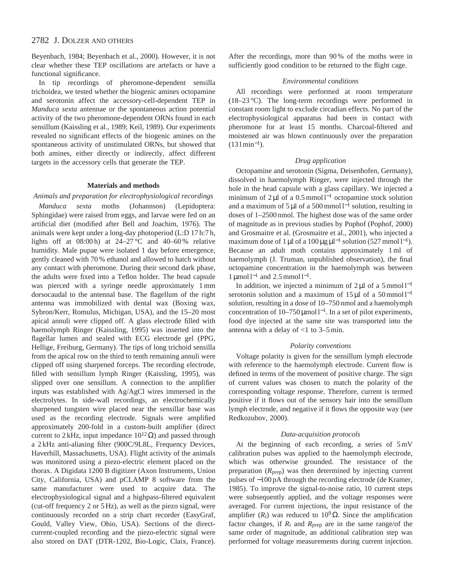Beyenbach, 1984; Beyenbach et al., 2000). However, it is not clear whether these TEP oscillations are artefacts or have a functional significance.

In tip recordings of pheromone-dependent sensilla trichoidea, we tested whether the biogenic amines octopamine and serotonin affect the accessory-cell-dependent TEP in *Manduca sexta* antennae or the spontaneous action potential activity of the two pheromone-dependent ORNs found in each sensillum (Kaissling et al., 1989; Keil, 1989). Our experiments revealed no significant effects of the biogenic amines on the spontaneous activity of unstimulated ORNs, but showed that both amines, either directly or indirectly, affect different targets in the accessory cells that generate the TEP.

### **Materials and methods**

*Animals and preparation for electrophysiological recordings Manduca sexta* moths (Johannson) (Lepidoptera: Sphingidae) were raised from eggs, and larvae were fed on an artificial diet (modified after Bell and Joachim, 1976). The animals were kept under a long-day photoperiod (L:D 17 h:7 h, lights off at  $08:00 \text{ h}$ ) at  $24-27 \text{ }^{\circ}\text{C}$  and  $40-60 \text{ }^{\circ}\text{}$  relative humidity. Male pupae were isolated 1 day before emergence, gently cleaned with 70 % ethanol and allowed to hatch without any contact with pheromone. During their second dark phase, the adults were fixed into a Teflon holder. The head capsule was pierced with a syringe needle approximately 1 mm dorsocaudal to the antennal base. The flagellum of the right antenna was immobilized with dental wax (Boxing wax, Sybron/Kerr, Romulus, Michigan, USA), and the 15–20 most apical annuli were clipped off. A glass electrode filled with haemolymph Ringer (Kaissling, 1995) was inserted into the flagellar lumen and sealed with ECG electrode gel (PPG, Hellige, Freiburg, Germany). The tips of long trichoid sensilla from the apical row on the third to tenth remaining annuli were clipped off using sharpened forceps. The recording electrode, filled with sensillum lymph Ringer (Kaissling, 1995), was slipped over one sensillum. A connection to the amplifier inputs was established with Ag/AgCl wires immersed in the electrolytes. In side-wall recordings, an electrochemically sharpened tungsten wire placed near the sensillar base was used as the recording electrode. Signals were amplified approximately 200-fold in a custom-built amplifier (direct current to 2 kHz, input impedance  $10^{12} \Omega$ ) and passed through a 2 kHz anti-aliasing filter (900C/9L8L, Frequency Devices, Haverhill, Massachusetts, USA). Flight activity of the animals was monitored using a piezo-electric element placed on the thorax. A Digidata 1200 B digitizer (Axon Instruments, Union City, California, USA) and pCLAMP 8 software from the same manufacturer were used to acquire data. The electrophysiological signal and a highpass-filtered equivalent (cut-off frequency 2 or 5 Hz), as well as the piezo signal, were continuously recorded on a strip chart recorder (EasyGraf, Gould, Valley View, Ohio, USA). Sections of the directcurrent-coupled recording and the piezo-electric signal were also stored on DAT (DTR-1202, Bio-Logic, Claix, France).

After the recordings, more than 90 % of the moths were in sufficiently good condition to be returned to the flight cage.

### *Environmental conditions*

All recordings were performed at room temperature (18–23 °C). The long-term recordings were performed in constant room light to exclude circadian effects. No part of the electrophysiological apparatus had been in contact with pheromone for at least 15 months. Charcoal-filtered and moistened air was blown continuously over the preparation  $(131 \text{min}^{-1})$ .

### *Drug application*

Octopamine and serotonin (Sigma, Deisenhofen, Germany), dissolved in haemolymph Ringer, were injected through the hole in the head capsule with a glass capillary. We injected a minimum of 2 µl of a 0.5 mmol l−<sup>1</sup> octopamine stock solution and a maximum of 5 μl of a 500 mmol l<sup>-1</sup> solution, resulting in doses of 1–2500 nmol. The highest dose was of the same order of magnitude as in previous studies by Pophof (Pophof, 2000) and Grosmaitre et al. (Grosmaitre et al., 2001), who injected a maximum dose of 1 µl of a 100 µg  $\mu$ l<sup>-1</sup> solution (527 mmol l<sup>-1</sup>). Because an adult moth contains approximately 1 ml of haemolymph (J. Truman, unpublished observation), the final octopamine concentration in the haemolymph was between  $1 \mu$ mol l<sup>-1</sup> and 2.5 mmol l<sup>-1</sup>.

In addition, we injected a minimum of  $2 \mu$ l of a 5 mmol l<sup>-1</sup> serotonin solution and a maximum of  $15 \mu$ l of a 50 mmol l<sup>-1</sup> solution, resulting in a dose of 10–750 nmol and a haemolymph concentration of  $10–750 \,\text{\mu}$ mol l<sup>-1</sup>. In a set of pilot experiments, food dye injected at the same site was transported into the antenna with a delay of  $<$ 1 to 3–5 min.

## *Polarity conventions*

Voltage polarity is given for the sensillum lymph electrode with reference to the haemolymph electrode. Current flow is defined in terms of the movement of positive charge. The sign of current values was chosen to match the polarity of the corresponding voltage response. Therefore, current is termed positive if it flows out of the sensory hair into the sensillum lymph electrode, and negative if it flows the opposite way (see Redkozubov, 2000).

### *Data-acquisition protocols*

At the beginning of each recording, a series of 5 mV calibration pulses was applied to the haemolymph electrode, which was otherwise grounded. The resistance of the preparation (*R*prep) was then determined by injecting current pulses of −100 pA through the recording electrode (de Kramer, 1985). To improve the signal-to-noise ratio, 10 current steps were subsequently applied, and the voltage responses were averaged. For current injections, the input resistance of the amplifier ( $R$ <sub>i</sub>) was reduced to 10<sup>9</sup>Ω. Since the amplification factor changes, if  $R_i$  and  $R_{prep}$  are in the same range/of the same order of magnitude, an additional calibration step was performed for voltage measurements during current injection.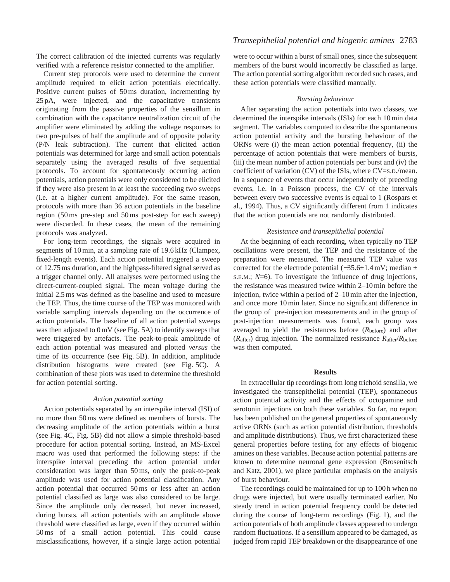The correct calibration of the injected currents was regularly verified with a reference resistor connected to the amplifier.

Current step protocols were used to determine the current amplitude required to elicit action potentials electrically. Positive current pulses of 50 ms duration, incrementing by 25 pA, were injected, and the capacitative transients originating from the passive properties of the sensillum in combination with the capacitance neutralization circuit of the amplifier were eliminated by adding the voltage responses to two pre-pulses of half the amplitude and of opposite polarity (P/N leak subtraction). The current that elicited action potentials was determined for large and small action potentials separately using the averaged results of five sequential protocols. To account for spontaneously occurring action potentials, action potentials were only considered to be elicited if they were also present in at least the succeeding two sweeps (i.e. at a higher current amplitude). For the same reason, protocols with more than 36 action potentials in the baseline region (50 ms pre-step and 50 ms post-step for each sweep) were discarded. In these cases, the mean of the remaining protocols was analyzed.

For long-term recordings, the signals were acquired in segments of 10 min, at a sampling rate of 19.6 kHz (Clampex, fixed-length events). Each action potential triggered a sweep of 12.75 ms duration, and the highpass-filtered signal served as a trigger channel only. All analyses were performed using the direct-current-coupled signal. The mean voltage during the initial 2.5 ms was defined as the baseline and used to measure the TEP. Thus, the time course of the TEP was monitored with variable sampling intervals depending on the occurrence of action potentials. The baseline of all action potential sweeps was then adjusted to 0 mV (see Fig. 5A) to identify sweeps that were triggered by artefacts. The peak-to-peak amplitude of each action potential was measured and plotted *versus* the time of its occurrence (see Fig. 5B). In addition, amplitude distribution histograms were created (see Fig. 5C). A combination of these plots was used to determine the threshold for action potential sorting.

### *Action potential sorting*

Action potentials separated by an interspike interval (ISI) of no more than 50 ms were defined as members of bursts. The decreasing amplitude of the action potentials within a burst (see Fig. 4C, Fig. 5B) did not allow a simple threshold-based procedure for action potential sorting. Instead, an MS-Excel macro was used that performed the following steps: if the interspike interval preceding the action potential under consideration was larger than 50 ms, only the peak-to-peak amplitude was used for action potential classification. Any action potential that occurred 50 ms or less after an action potential classified as large was also considered to be large. Since the amplitude only decreased, but never increased, during bursts, all action potentials with an amplitude above threshold were classified as large, even if they occurred within 50 ms of a small action potential. This could cause misclassifications, however, if a single large action potential

## *Transepithelial potential and biogenic amines* 2783

were to occur within a burst of small ones, since the subsequent members of the burst would incorrectly be classified as large. The action potential sorting algorithm recorded such cases, and these action potentials were classified manually.

## *Bursting behaviour*

After separating the action potentials into two classes, we determined the interspike intervals (ISIs) for each 10 min data segment. The variables computed to describe the spontaneous action potential activity and the bursting behaviour of the ORNs were (i) the mean action potential frequency, (ii) the percentage of action potentials that were members of bursts, (iii) the mean number of action potentials per burst and (iv) the coefficient of variation (CV) of the ISIs, where CV=S.D./mean. In a sequence of events that occur independently of preceding events, i.e. in a Poisson process, the CV of the intervals between every two successive events is equal to 1 (Rospars et al., 1994). Thus, a CV significantly different from 1 indicates that the action potentials are not randomly distributed.

### *Resistance and transepithelial potential*

At the beginning of each recording, when typically no TEP oscillations were present, the TEP and the resistance of the preparation were measured. The measured TEP value was corrected for the electrode potential (−35.6±1.4 mV; median ± S.E.M.; *N*=6). To investigate the influence of drug injections, the resistance was measured twice within 2–10 min before the injection, twice within a period of 2–10 min after the injection, and once more 10 min later. Since no significant difference in the group of pre-injection measurements and in the group of post-injection measurements was found, each group was averaged to yield the resistances before (*R*before) and after (*R*after) drug injection. The normalized resistance *R*after/*R*before was then computed.

#### **Results**

In extracellular tip recordings from long trichoid sensilla, we investigated the transepithelial potential (TEP), spontaneous action potential activity and the effects of octopamine and serotonin injections on both these variables. So far, no report has been published on the general properties of spontaneously active ORNs (such as action potential distribution, thresholds and amplitude distributions). Thus, we first characterized these general properties before testing for any effects of biogenic amines on these variables. Because action potential patterns are known to determine neuronal gene expression (Brosenitsch and Katz, 2001), we place particular emphasis on the analysis of burst behaviour.

The recordings could be maintained for up to 100 h when no drugs were injected, but were usually terminated earlier. No steady trend in action potential frequency could be detected during the course of long-term recordings (Fig. 1), and the action potentials of both amplitude classes appeared to undergo random fluctuations. If a sensillum appeared to be damaged, as judged from rapid TEP breakdown or the disappearance of one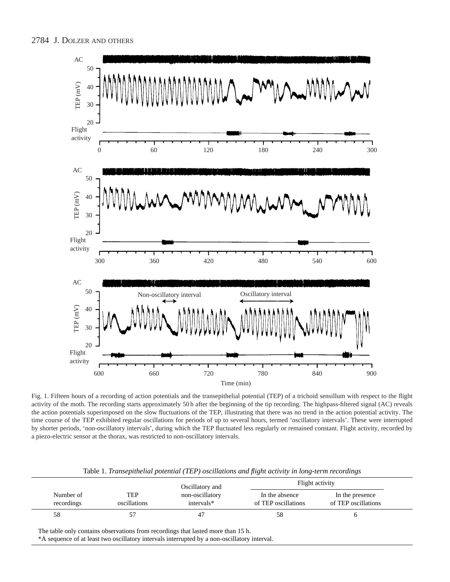

Fig. 1. Fifteen hours of a recording of action potentials and the transepithelial potential (TEP) of a trichoid sensillum with respect to the flight activity of the moth. The recording starts approximately 50 h after the beginning of the tip recording. The highpass-filtered signal (AC) reveals the action potentials superimposed on the slow fluctuations of the TEP, illustrating that there was no trend in the action potential activity. The time course of the TEP exhibited regular oscillations for periods of up to several hours, termed 'oscillatory intervals'. These were interrupted by shorter periods, 'non-oscillatory intervals', during which the TEP fluctuated less regularly or remained constant. Flight activity, recorded by a piezo-electric sensor at the thorax, was restricted to non-oscillatory intervals.

|                         |                     | Oscillatory and               | Flight activity                       |                                        |
|-------------------------|---------------------|-------------------------------|---------------------------------------|----------------------------------------|
| Number of<br>recordings | TEP<br>oscillations | non-oscillatory<br>intervals* | In the absence<br>of TEP oscillations | In the presence<br>of TEP oscillations |
| 58                      |                     |                               |                                       |                                        |

Table 1. *Transepithelial potential (TEP) oscillations and flight activity in long-term recordings*

The table only contains observations from recordings that lasted more than 15 h.

\*A sequence of at least two oscillatory intervals interrupted by a non-oscillatory interval.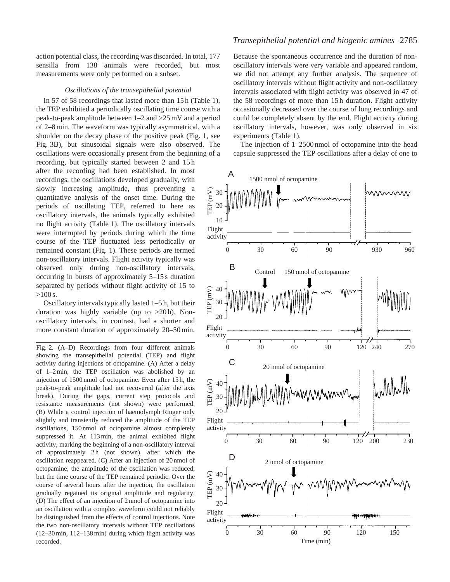action potential class, the recording was discarded. In total, 177 sensilla from 138 animals were recorded, but most measurements were only performed on a subset.

#### *Oscillations of the transepithelial potential*

In 57 of 58 recordings that lasted more than 15 h (Table 1), the TEP exhibited a periodically oscillating time course with a peak-to-peak amplitude between 1–2 and >25 mV and a period of 2–8 min. The waveform was typically asymmetrical, with a shoulder on the decay phase of the positive peak (Fig. 1, see Fig. 3B), but sinusoidal signals were also observed. The oscillations were occasionally present from the beginning of a recording, but typically started between 2 and 15 h after the recording had been established. In most recordings, the oscillations developed gradually, with slowly increasing amplitude, thus preventing a quantitative analysis of the onset time. During the periods of oscillating TEP, referred to here as oscillatory intervals, the animals typically exhibited no flight activity (Table 1). The oscillatory intervals were interrupted by periods during which the time course of the TEP fluctuated less periodically or remained constant (Fig. 1). These periods are termed non-oscillatory intervals. Flight activity typically was observed only during non-oscillatory intervals, occurring in bursts of approximately 5–15 s duration separated by periods without flight activity of 15 to  $>100 s$ .

Oscillatory intervals typically lasted 1–5 h, but their duration was highly variable (up to  $>20$  h). Nonoscillatory intervals, in contrast, had a shorter and more constant duration of approximately 20–50 min.

Fig. 2. (A–D) Recordings from four different animals showing the transepithelial potential (TEP) and flight activity during injections of octopamine. (A) After a delay of 1–2 min, the TEP oscillation was abolished by an injection of 1500 nmol of octopamine. Even after 15 h, the peak-to-peak amplitude had not recovered (after the axis break). During the gaps, current step protocols and resistance measurements (not shown) were performed. (B) While a control injection of haemolymph Ringer only slightly and transiently reduced the amplitude of the TEP oscillations, 150 nmol of octopamine almost completely suppressed it. At 113 min, the animal exhibited flight activity, marking the beginning of a non-oscillatory interval of approximately 2h (not shown), after which the oscillation reappeared. (C) After an injection of 20 nmol of octopamine, the amplitude of the oscillation was reduced, but the time course of the TEP remained periodic. Over the course of several hours after the injection, the oscillation gradually regained its original amplitude and regularity. (D) The effect of an injection of 2 nmol of octopamine into an oscillation with a complex waveform could not reliably be distinguished from the effects of control injections. Note the two non-oscillatory intervals without TEP oscillations (12–30 min, 112–138 min) during which flight activity was recorded.

## *Transepithelial potential and biogenic amines* 2785

Because the spontaneous occurrence and the duration of nonoscillatory intervals were very variable and appeared random, we did not attempt any further analysis. The sequence of oscillatory intervals without flight activity and non-oscillatory intervals associated with flight activity was observed in 47 of the 58 recordings of more than 15 h duration. Flight activity occasionally decreased over the course of long recordings and could be completely absent by the end. Flight activity during oscillatory intervals, however, was only observed in six experiments (Table 1).

The injection of 1–2500 nmol of octopamine into the head capsule suppressed the TEP oscillations after a delay of one to

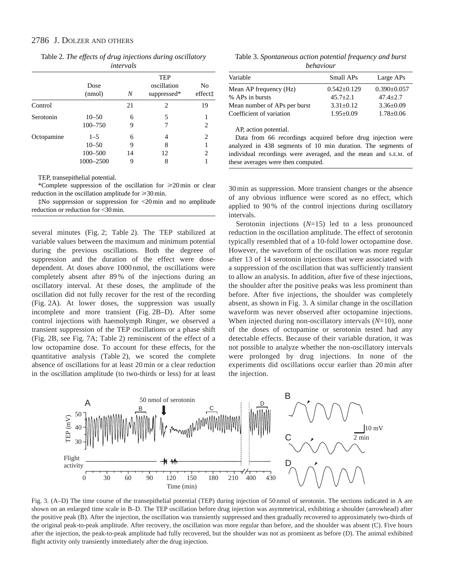|  |           | Table 2. The effects of drug injections during oscillatory |
|--|-----------|------------------------------------------------------------|
|  | intervals |                                                            |

|            | Dose<br>(nmol)                                   | N                 | <b>TEP</b><br>oscillation<br>suppressed* | No<br>effectt |
|------------|--------------------------------------------------|-------------------|------------------------------------------|---------------|
| Control    |                                                  | 21                | 2                                        | 19            |
| Serotonin  | $10 - 50$<br>$100 - 750$                         | 6<br>9            | 5<br>7                                   | 2             |
| Octopamine | $1 - 5$<br>$10 - 50$<br>$100 - 500$<br>1000-2500 | 6<br>9<br>14<br>9 | 4<br>8<br>12<br>8                        | 2<br>2        |

TEP, transepithelial potential.

\*Complete suppression of the oscillation for  $\geq 20 \text{ min}$  or clear reduction in the oscillation amplitude for  $\geq 30$  min.

‡No suppression or suppression for <20 min and no amplitude reduction or reduction for <30 min.

several minutes (Fig. 2; Table 2). The TEP stabilized at variable values between the maximum and minimum potential during the previous oscillations. Both the degreee of suppression and the duration of the effect were dosedependent. At doses above 1000 nmol, the oscillations were completely absent after 89 % of the injections during an oscillatory interval. At these doses, the amplitude of the oscillation did not fully recover for the rest of the recording (Fig. 2A). At lower doses, the suppression was usually incomplete and more transient (Fig. 2B–D). After some control injections with haemolymph Ringer, we observed a transient suppression of the TEP oscillations or a phase shift (Fig. 2B, see Fig. 7A; Table 2) reminiscent of the effect of a low octopamine dose. To account for these effects, for the quantitative analysis (Table 2), we scored the complete absence of oscillations for at least 20 min or a clear reduction in the oscillation amplitude (to two-thirds or less) for at least

Table 3. *Spontaneous action potential frequency and burst behaviour*

| Variable                     | Small APs     | Large APs         |
|------------------------------|---------------|-------------------|
| Mean AP frequency (Hz)       | $0.542+0.129$ | $0.390 \pm 0.057$ |
| % APs in bursts              | $45.7 + 2.1$  | $47.4 + 2.7$      |
| Mean number of APs per burst | $3.31 + 0.12$ | $3.36 \pm 0.09$   |
| Coefficient of variation     | $1.95+0.09$   | $1.78 \pm 0.06$   |
|                              |               |                   |

AP, action potential.

Data from 66 recordings acquired before drug injection were analyzed in 438 segments of 10 min duration. The segments of individual recordings were averaged, and the mean and S.E.M. of these averages were then computed.

30 min as suppression. More transient changes or the absence of any obvious influence were scored as no effect, which applied to 90 % of the control injections during oscillatory intervals.

Serotonin injections (*N*=15) led to a less pronounced reduction in the oscillation amplitude. The effect of serotonin typically resembled that of a 10-fold lower octopamine dose. However, the waveform of the oscillation was more regular after 13 of 14 serotonin injections that were associated with a suppression of the oscillation that was sufficiently transient to allow an analysis. In addition, after five of these injections, the shoulder after the positive peaks was less prominent than before. After five injections, the shoulder was completely absent, as shown in Fig. 3. A similar change in the oscillation waveform was never observed after octopamine injections. When injected during non-oscillatory intervals (*N*=10), none of the doses of octopamine or serotonin tested had any detectable effects. Because of their variable duration, it was not possible to analyze whether the non-oscillatory intervals were prolonged by drug injections. In none of the experiments did oscillations occur earlier than 20 min after the injection.



Fig. 3. (A–D) The time course of the transepithelial potential (TEP) during injection of 50 nmol of serotonin. The sections indicated in A are shown on an enlarged time scale in B–D. The TEP oscillation before drug injection was asymmetrical, exhibiting a shoulder (arrowhead) after the positive peak (B). After the injection, the oscillation was transiently suppressed and then gradually recovered to approximately two-thirds of the original peak-to-peak amplitude. After recovery, the oscillation was more regular than before, and the shoulder was absent (C). Five hours after the injection, the peak-to-peak amplitude had fully recovered, but the shoulder was not as prominent as before (D). The animal exhibited flight activity only transiently immediately after the drug injection.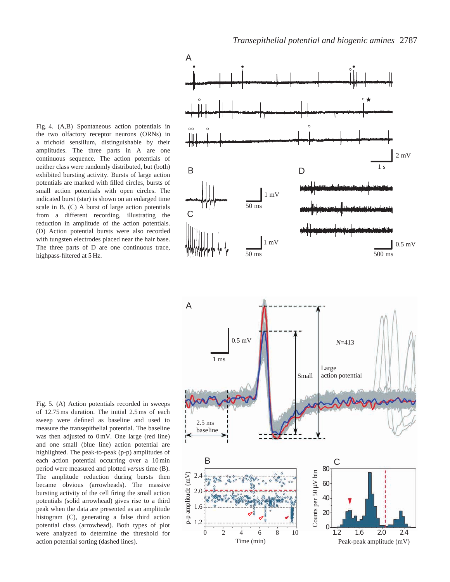*Transepithelial potential and biogenic amines* 2787

Fig. 4. (A,B) Spontaneous action potentials in the two olfactory receptor neurons (ORNs) in a trichoid sensillum, distinguishable by their amplitudes. The three parts in A are one continuous sequence. The action potentials of neither class were randomly distributed, but (both) exhibited bursting activity. Bursts of large action potentials are marked with filled circles, bursts of small action potentials with open circles. The indicated burst (star) is shown on an enlarged time scale in B. (C) A burst of large action potentials from a different recording, illustrating the reduction in amplitude of the action potentials. (D) Action potential bursts were also recorded with tungsten electrodes placed near the hair base. The three parts of D are one continuous trace, highpass-filtered at 5 Hz.





Fig. 5. (A) Action potentials recorded in sweeps of 12.75 ms duration. The initial 2.5 ms of each sweep were defined as baseline and used to measure the transepithelial potential. The baseline was then adjusted to 0 mV. One large (red line) and one small (blue line) action potential are highlighted. The peak-to-peak (p-p) amplitudes of each action potential occurring over a 10 min period were measured and plotted *versus* time (B). The amplitude reduction during bursts then became obvious (arrowheads). The massive bursting activity of the cell firing the small action potentials (solid arrowhead) gives rise to a third peak when the data are presented as an amplitude histogram (C), generating a false third action potential class (arrowhead). Both types of plot were analyzed to determine the threshold for action potential sorting (dashed lines).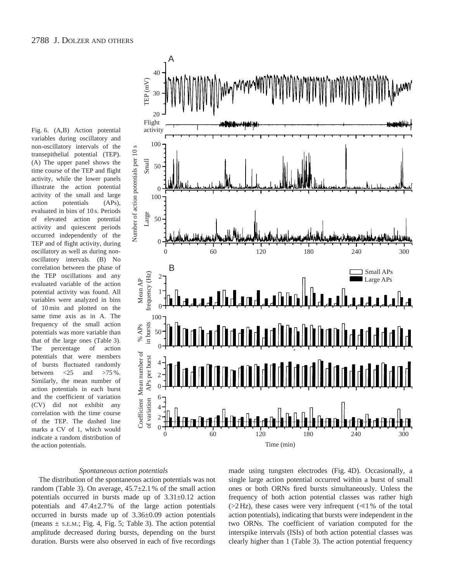Fig. 6. (A,B) Action potential variables during oscillatory and non-oscillatory intervals of the transepithelial potential (TEP). (A) The upper panel shows the time course of the TEP and flight activity, while the lower panels illustrate the action potential activity of the small and large action potentials (APs), evaluated in bins of 10 s. Periods of elevated action potential activity and quiescent periods occurred independently of the TEP and of flight activity, during oscillatory as well as during nonoscillatory intervals. (B) No correlation between the phase of the TEP oscillations and any evaluated variable of the action potential activity was found. All variables were analyzed in bins of 10 min and plotted on the same time axis as in A. The frequency of the small action potentials was more variable than that of the large ones (Table 3). The percentage of action potentials that were members of bursts fluctuated randomly<br>between  $\langle 25 \rangle$  and  $>75\%$ . between  $\langle 25 \rangle$  and Similarly, the mean number of action potentials in each burst and the coefficient of variation (CV) did not exhibit any correlation with the time course of the TEP. The dashed line marks a CV of 1, which would indicate a random distribution of the action potentials.



### *Spontaneous action potentials*

The distribution of the spontaneous action potentials was not random (Table 3). On average,  $45.7 \pm 2.1$  % of the small action potentials occurred in bursts made up of 3.31±0.12 action potentials and 47.4±2.7 % of the large action potentials occurred in bursts made up of 3.36±0.09 action potentials (means  $\pm$  s.e.m.; Fig. 4, Fig. 5; Table 3). The action potential amplitude decreased during bursts, depending on the burst duration. Bursts were also observed in each of five recordings

made using tungsten electrodes (Fig. 4D). Occasionally, a single large action potential occurred within a burst of small ones or both ORNs fired bursts simultaneously. Unless the frequency of both action potential classes was rather high ( $>2$  Hz), these cases were very infrequent ( $\leq 1\%$  of the total action potentials), indicating that bursts were independent in the two ORNs. The coefficient of variation computed for the interspike intervals (ISIs) of both action potential classes was clearly higher than 1 (Table 3). The action potential frequency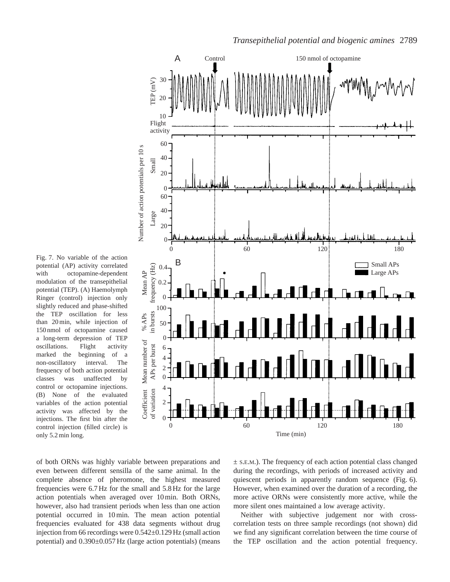Fig. 7. No variable of the action potential (AP) activity correlated with octopamine-dependent modulation of the transepithelial potential (TEP). (A) Haemolymph Ringer (control) injection only slightly reduced and phase-shifted the TEP oscillation for less than 20 min, while injection of 150 nmol of octopamine caused a long-term depression of TEP oscillations. Flight activity marked the beginning of a non-oscillatory interval. The frequency of both action potential classes was unaffected by control or octopamine injections. (B) None of the evaluated variables of the action potential activity was affected by the injections. The first bin after the control injection (filled circle) is only 5.2 min long.



of both ORNs was highly variable between preparations and even between different sensilla of the same animal. In the complete absence of pheromone, the highest measured frequencies were 6.7 Hz for the small and 5.8 Hz for the large action potentials when averaged over 10 min. Both ORNs, however, also had transient periods when less than one action potential occurred in 10 min. The mean action potential frequencies evaluated for 438 data segments without drug injection from 66 recordings were 0.542±0.129 Hz (small action potential) and 0.390±0.057 Hz (large action potentials) (means

± S.E.M.). The frequency of each action potential class changed during the recordings, with periods of increased activity and quiescent periods in apparently random sequence (Fig. 6). However, when examined over the duration of a recording, the more active ORNs were consistently more active, while the more silent ones maintained a low average activity.

Neither with subjective judgement nor with crosscorrelation tests on three sample recordings (not shown) did we find any significant correlation between the time course of the TEP oscillation and the action potential frequency.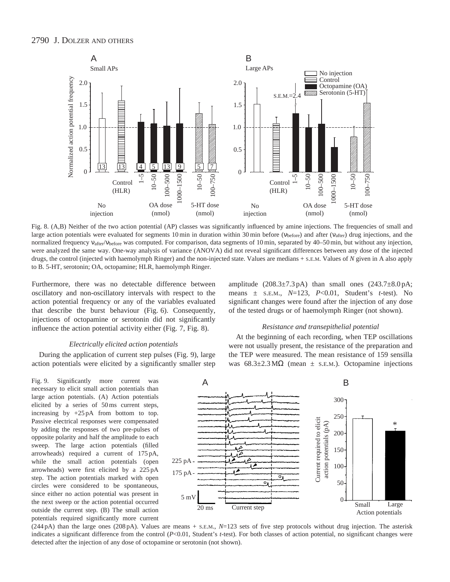

Fig. 8. (A,B) Neither of the two action potential (AP) classes was significantly influenced by amine injections. The frequencies of small and large action potentials were evaluated for segments 10 min in duration within 30 min before (ν<sub>before</sub>) and after (ν<sub>after</sub>) drug injections, and the normalized frequency ν<sub>after</sub>/ν<sub>before</sub> was computed. For comparison, data segments of 10 min, separated by 40–50 min, but without any injection, were analyzed the same way. One-way analysis of variance (ANOVA) did not reveal significant differences between any dose of the injected drugs, the control (injected with haemolymph Ringer) and the non-injected state. Values are medians + S.E.M. Values of *N* given in A also apply to B. 5-HT, serotonin; OA, octopamine; HLR, haemolymph Ringer.

Furthermore, there was no detectable difference between oscillatory and non-oscillatory intervals with respect to the action potential frequency or any of the variables evaluated that describe the burst behaviour (Fig. 6). Consequently, injections of octopamine or serotonin did not significantly influence the action potential activity either (Fig. 7, Fig. 8).

# amplitude  $(208.3\pm7.3 \text{ pA})$  than small ones  $(243.7\pm8.0 \text{ pA})$ ; means ± S.E.M., *N*=123, *P*<0.01, Student's *t*-test). No significant changes were found after the injection of any dose of the tested drugs or of haemolymph Ringer (not shown).

### *Resistance and transepithelial potential*

## *Electrically elicited action potentials*

During the application of current step pulses (Fig. 9), large action potentials were elicited by a significantly smaller step

Fig. 9. Significantly more current was necessary to elicit small action potentials than large action potentials. (A) Action potentials elicited by a series of 50 ms current steps, increasing by +25 pA from bottom to top. Passive electrical responses were compensated by adding the responses of two pre-pulses of opposite polarity and half the amplitude to each sweep. The large action potentials (filled arrowheads) required a current of 175 pA, while the small action potentials (open arrowheads) were first elicited by a 225 pA step. The action potentials marked with open circles were considered to be spontaneous, since either no action potential was present in the next sweep or the action potential occurred outside the current step. (B) The small action potentials required significantly more current

At the beginning of each recording, when TEP oscillations were not usually present, the resistance of the preparation and the TEP were measured. The mean resistance of 159 sensilla was  $68.3 \pm 2.3 \,\text{M}\Omega$  (mean  $\pm$  s.e.m.). Octopamine injections



(244 pA) than the large ones (208 pA). Values are means + S.E.M., *N*=123 sets of five step protocols without drug injection. The asterisk indicates a significant difference from the control (*P*<0.01, Student's *t*-test). For both classes of action potential, no significant changes were detected after the injection of any dose of octopamine or serotonin (not shown).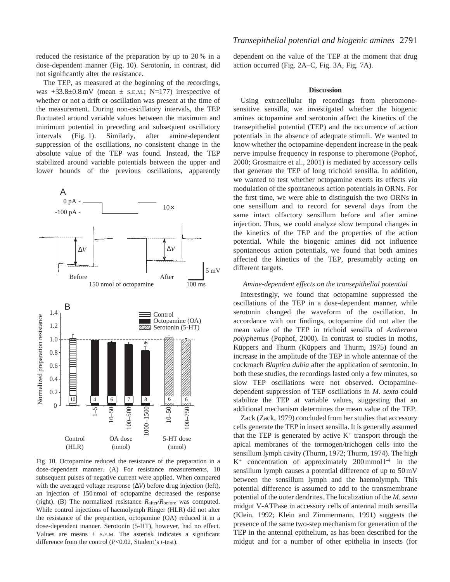reduced the resistance of the preparation by up to 20 % in a dose-dependent manner (Fig. 10). Serotonin, in contrast, did not significantly alter the resistance.

The TEP, as measured at the beginning of the recordings, was  $+33.8\pm0.8$  mV (mean  $\pm$  s.e.m.; N=177) irrespective of whether or not a drift or oscillation was present at the time of the measurement. During non-oscillatory intervals, the TEP fluctuated around variable values between the maximum and minimum potential in preceding and subsequent oscillatory intervals (Fig. 1). Similarly, after amine-dependent suppression of the oscillations, no consistent change in the absolute value of the TEP was found. Instead, the TEP stabilized around variable potentials between the upper and lower bounds of the previous oscillations, apparently



Fig. 10. Octopamine reduced the resistance of the preparation in a dose-dependent manner. (A) For resistance measurements, 10 subsequent pulses of negative current were applied. When compared with the averaged voltage response (∆*V*) before drug injection (left), an injection of 150 nmol of octopamine decreased the response (right). (B) The normalized resistance *R*after/*R*before was computed. While control injections of haemolymph Ringer (HLR) did not alter the resistance of the preparation, octopamine (OA) reduced it in a dose-dependent manner. Serotonin (5-HT), however, had no effect. Values are means + S.E.M. The asterisk indicates a significant difference from the control (*P*<0.02, Student's *t*-test).

dependent on the value of the TEP at the moment that drug action occurred (Fig. 2A–C, Fig. 3A, Fig. 7A).

#### **Discussion**

Using extracellular tip recordings from pheromonesensitive sensilla, we investigated whether the biogenic amines octopamine and serotonin affect the kinetics of the transepithelial potential (TEP) and the occurrence of action potentials in the absence of adequate stimuli. We wanted to know whether the octopamine-dependent increase in the peak nerve impulse frequency in response to pheromone (Pophof, 2000; Grosmaitre et al., 2001) is mediated by accessory cells that generate the TEP of long trichoid sensilla. In addition, we wanted to test whether octopamine exerts its effects *via* modulation of the spontaneous action potentials in ORNs. For the first time, we were able to distinguish the two ORNs in one sensillum and to record for several days from the same intact olfactory sensillum before and after amine injection. Thus, we could analyze slow temporal changes in the kinetics of the TEP and the properties of the action potential. While the biogenic amines did not influence spontaneous action potentials, we found that both amines affected the kinetics of the TEP, presumably acting on different targets.

## *Amine-dependent effects on the transepithelial potential*

Interestingly, we found that octopamine suppressed the oscillations of the TEP in a dose-dependent manner, while serotonin changed the waveform of the oscillation. In accordance with our findings, octopamine did not alter the mean value of the TEP in trichoid sensilla of *Antheraea polyphemus* (Pophof, 2000). In contrast to studies in moths, Küppers and Thurm (Küppers and Thurm, 1975) found an increase in the amplitude of the TEP in whole antennae of the cockroach *Blaptica dubia* after the application of serotonin. In both these studies, the recordings lasted only a few minutes, so slow TEP oscillations were not observed. Octopaminedependent suppression of TEP oscillations in *M. sexta* could stabilize the TEP at variable values, suggesting that an additional mechanism determines the mean value of the TEP.

Zack (Zack, 1979) concluded from her studies that accessory cells generate the TEP in insect sensilla. It is generally assumed that the TEP is generated by active  $K^+$  transport through the apical membranes of the tormogen/trichogen cells into the sensillum lymph cavity (Thurm, 1972; Thurm, 1974). The high K+ concentration of approximately 200 mmol l−<sup>1</sup> in the sensillum lymph causes a potential difference of up to 50 mV between the sensillum lymph and the haemolymph. This potential difference is assumed to add to the transmembrane potential of the outer dendrites. The localization of the *M. sexta* midgut V-ATPase in accessory cells of antennal moth sensilla (Klein, 1992; Klein and Zimmermann, 1991) suggests the presence of the same two-step mechanism for generation of the TEP in the antennal epithelium, as has been described for the midgut and for a number of other epithelia in insects (for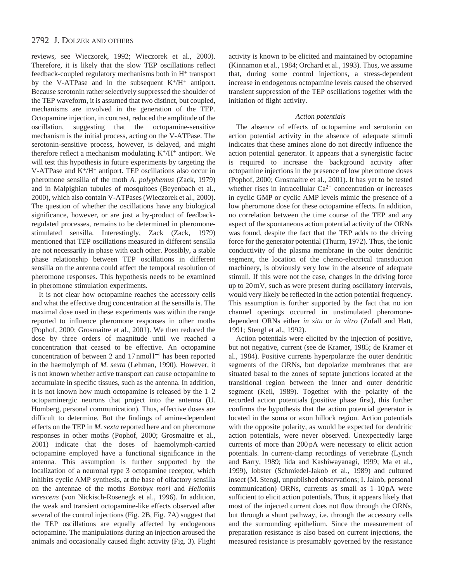reviews, see Wieczorek, 1992; Wieczorek et al., 2000). Therefore, it is likely that the slow TEP oscillations reflect feedback-coupled regulatory mechanisms both in H<sup>+</sup> transport by the V-ATPase and in the subsequent  $K^+/H^+$  antiport. Because serotonin rather selectively suppressed the shoulder of the TEP waveform, it is assumed that two distinct, but coupled, mechanisms are involved in the generation of the TEP. Octopamine injection, in contrast, reduced the amplitude of the oscillation, suggesting that the octopamine-sensitive mechanism is the initial process, acting on the V-ATPase. The serotonin-sensitive process, however, is delayed, and might therefore reflect a mechanism modulating  $K^+/H^+$  antiport. We will test this hypothesis in future experiments by targeting the V-ATPase and K+/H+ antiport. TEP oscillations also occur in pheromone sensilla of the moth *A. polyphemus* (Zack, 1979) and in Malpighian tubules of mosquitoes (Beyenbach et al., 2000), which also contain V-ATPases (Wieczorek et al., 2000). The question of whether the oscillations have any biological significance, however, or are just a by-product of feedbackregulated processes, remains to be determined in pheromonestimulated sensilla. Interestingly, Zack (Zack, 1979) mentioned that TEP oscillations measured in different sensilla are not necessarily in phase with each other. Possibly, a stable phase relationship between TEP oscillations in different sensilla on the antenna could affect the temporal resolution of pheromone responses. This hypothesis needs to be examined in pheromone stimulation experiments.

It is not clear how octopamine reaches the accessory cells and what the effective drug concentration at the sensilla is. The maximal dose used in these experiments was within the range reported to influence pheromone responses in other moths (Pophof, 2000; Grosmaitre et al., 2001). We then reduced the dose by three orders of magnitude until we reached a concentration that ceased to be effective. An octopamine concentration of between 2 and 17 nmol l−<sup>1</sup> has been reported in the haemolymph of *M. sexta* (Lehman, 1990). However, it is not known whether active transport can cause octopamine to accumulate in specific tissues, such as the antenna. In addition, it is not known how much octopamine is released by the 1–2 octopaminergic neurons that project into the antenna (U. Homberg, personal communication). Thus, effective doses are difficult to determine. But the findings of amine-dependent effects on the TEP in *M. sexta* reported here and on pheromone responses in other moths (Pophof, 2000; Grosmaitre et al., 2001) indicate that the doses of haemolymph-carried octopamine employed have a functional significance in the antenna. This assumption is further supported by the localization of a neuronal type 3 octopamine receptor, which inhibits cyclic AMP synthesis, at the base of olfactory sensilla on the antennae of the moths *Bombyx mori* and *Heliothis virescens* (von Nickisch-Rosenegk et al., 1996). In addition, the weak and transient octopamine-like effects observed after several of the control injections (Fig. 2B, Fig. 7A) suggest that the TEP oscillations are equally affected by endogenous octopamine. The manipulations during an injection aroused the animals and occasionally caused flight activity (Fig. 3). Flight activity is known to be elicited and maintained by octopamine (Kinnamon et al., 1984; Orchard et al., 1993). Thus, we assume that, during some control injections, a stress-dependent increase in endogenous octopamine levels caused the observed transient suppression of the TEP oscillations together with the initiation of flight activity.

## *Action potentials*

The absence of effects of octopamine and serotonin on action potential activity in the absence of adequate stimuli indicates that these amines alone do not directly influence the action potential generator. It appears that a synergistic factor is required to increase the background activity after octopamine injections in the presence of low pheromone doses (Pophof, 2000; Grosmaitre et al., 2001). It has yet to be tested whether rises in intracellular  $Ca^{2+}$  concentration or increases in cyclic GMP or cyclic AMP levels mimic the presence of a low pheromone dose for these octopamine effects. In addition, no correlation between the time course of the TEP and any aspect of the spontaneous action potential activity of the ORNs was found, despite the fact that the TEP adds to the driving force for the generator potential (Thurm, 1972). Thus, the ionic conductivity of the plasma membrane in the outer dendritic segment, the location of the chemo-electrical transduction machinery, is obviously very low in the absence of adequate stimuli. If this were not the case, changes in the driving force up to 20 mV, such as were present during oscillatory intervals, would very likely be reflected in the action potential frequency. This assumption is further supported by the fact that no ion channel openings occurred in unstimulated pheromonedependent ORNs either *in situ* or *in vitro* (Zufall and Hatt, 1991; Stengl et al., 1992).

Action potentials were elicited by the injection of positive, but not negative, current (see de Kramer, 1985; de Kramer et al., 1984). Positive currents hyperpolarize the outer dendritic segments of the ORNs, but depolarize membranes that are situated basal to the zones of septate junctions located at the transitional region between the inner and outer dendritic segment (Keil, 1989). Together with the polarity of the recorded action potentials (positive phase first), this further confirms the hypothesis that the action potential generator is located in the soma or axon hillock region. Action potentials with the opposite polarity, as would be expected for dendritic action potentials, were never observed. Unexpectedly large currents of more than 200 pA were necessary to elicit action potentials. In current-clamp recordings of vertebrate (Lynch and Barry, 1989; Iida and Kashiwayanagi, 1999; Ma et al., 1999), lobster (Schmiedel-Jakob et al., 1989) and cultured insect (M. Stengl, unpublished observations; I. Jakob, personal communication) ORNs, currents as small as 1–10 pA were sufficient to elicit action potentials. Thus, it appears likely that most of the injected current does not flow through the ORNs, but through a shunt pathway, i.e. through the accessory cells and the surrounding epithelium. Since the measurement of preparation resistance is also based on current injections, the measured resistance is presumably governed by the resistance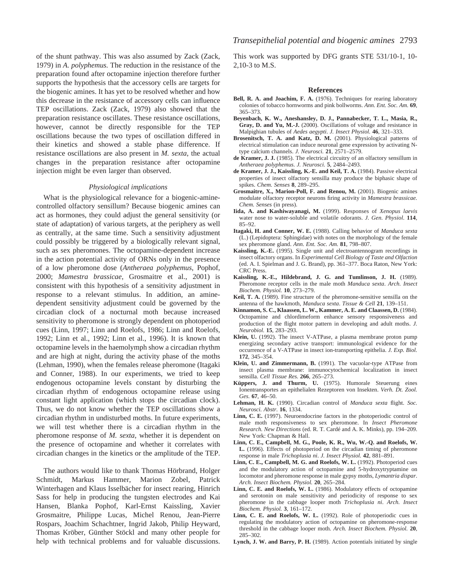of the shunt pathway. This was also assumed by Zack (Zack, 1979) in *A. polyphemus.* The reduction in the resistance of the preparation found after octopamine injection therefore further supports the hypothesis that the accessory cells are targets for the biogenic amines. It has yet to be resolved whether and how this decrease in the resistance of accessory cells can influence TEP oscillations. Zack (Zack, 1979) also showed that the preparation resistance oscillates. These resistance oscillations, however, cannot be directly responsible for the TEP oscillations because the two types of oscillation differed in their kinetics and showed a stable phase difference. If resistance oscillations are also present in *M. sexta*, the actual changes in the preparation resistance after octopamine injection might be even larger than observed.

#### *Physiological implications*

What is the physiological relevance for a biogenic-aminecontrolled olfactory sensillum? Because biogenic amines can act as hormones, they could adjust the general sensitivity (or state of adaptation) of various targets, at the periphery as well as centrally, at the same time. Such a sensitivity adjustment could possibly be triggered by a biologically relevant signal, such as sex pheromones. The octopamine-dependent increase in the action potential activity of ORNs only in the presence of a low pheromone dose (*Antheraea polyphemus*, Pophof, 2000; *Mamestra brassicae*, Grosmaitre et al., 2001) is consistent with this hypothesis of a sensitivity adjustment in response to a relevant stimulus. In addition, an aminedependent sensitivity adjustment could be governed by the circadian clock of a nocturnal moth because increased sensitivity to pheromone is strongly dependent on photoperiod cues (Linn, 1997; Linn and Roelofs, 1986; Linn and Roelofs, 1992; Linn et al., 1992; Linn et al., 1996). It is known that octopamine levels in the haemolymph show a circadian rhythm and are high at night, during the activity phase of the moths (Lehman, 1990), when the females release pheromone (Itagaki and Conner, 1988). In our experiments, we tried to keep endogenous octopamine levels constant by disturbing the circadian rhythm of endogenous octopamine release using constant light application (which stops the circadian clock). Thus, we do not know whether the TEP oscillations show a circadian rhythm in undisturbed moths. In future experiments, we will test whether there is a circadian rhythm in the pheromone response of *M. sexta*, whether it is dependent on the presence of octopamine and whether it correlates with circadian changes in the kinetics or the amplitude of the TEP.

The authors would like to thank Thomas Hörbrand, Holger Schmidt, Markus Hammer, Marion Zobel, Patrick Winterhagen and Klaus Isselbächer for insect rearing, Hinrich Sass for help in producing the tungsten electrodes and Kai Hansen, Blanka Pophof, Karl-Ernst Kaissling, Xavier Grosmaitre, Philippe Lucas, Michel Renou, Jean-Pierre Rospars, Joachim Schachtner, Ingrid Jakob, Philip Heyward, Thomas Kröber, Günther Stöckl and many other people for help with technical problems and for valuable discussions.

This work was supported by DFG grants STE 531/10-1, 10- 2,10-3 to M.S.

#### **References**

- **Bell, R. A. and Joachim, F. A.** (1976). Techniques for rearing laboratory colonies of tobacco hornworms and pink bollworms. *Ann. Ent. Soc. Am.* **69**, 365–373.
- **Beyenbach, K. W., Aneshansley, D. J., Pannabecker, T. L., Masia, R., Gray, D. and Yu, M.-J.** (2000). Oscillations of voltage and resistance in Malpighian tubules of *Aedes aegypti*. *J. Insect Physiol.* **46**, 321–333.
- **Brosenitsch, T. A. and Katz, D. M.** (2001). Physiological patterns of electrical stimulation can induce neuronal gene expression by activating Ntype calcium channels. *J. Neurosci.* **21**, 2571–2579.
- **de Kramer, J. J.** (1985). The electrical circuitry of an olfactory sensillum in *Antheraea polyphemus*. *J. Neurosci.* **5**, 2484–2493.
- **de Kramer, J. J., Kaissling, K.-E. and Keil, T. A.** (1984). Passive electrical properties of insect olfactory sensilla may produce the biphasic shape of spikes. *Chem. Senses* **8**, 289–295.
- **Grosmaitre, X., Marion-Poll, F. and Renou, M.** (2001). Biogenic amines modulate olfactory receptor neurons firing activity in *Mamestra brassicae. Chem. Senses* (in press).
- **Iida, A. and Kashiwayanagi, M.** (1999). Responses of *Xenopus laevis* water nose to water-soluble and volatile odorants. *J. Gen. Physiol.* **114**, 85–92.
- **Itagaki, H. and Conner, W. E.** (1988). Calling behavior of *Manduca sexta* (L.) (Lepidoptera: Sphingidae) with notes on the morphology of the female sex pheromone gland. *Ann. Ent. Soc. Am.* **81**, 798–807.
- **Kaissling, K.-E.** (1995). Single unit and electroantennogram recordings in insect olfactory organs. In *Experimental Cell Biology of Taste and Olfaction* (ed. A. I. Spielman and J. G. Brand), pp. 361–377. Boca Raton, New York: CRC Press.
- **Kaissling, K.-E., Hildebrand, J. G. and Tumlinson, J. H.** (1989). Pheromone receptor cells in the male moth *Manduca sexta*. *Arch. Insect Biochem. Physiol.* **10**, 273–279.
- **Keil, T. A.** (1989). Fine structure of the pheromone-sensitive sensilla on the antenna of the hawkmoth, *Manduca sexta*. *Tissue & Cell* **21**, 139–151.
- **Kinnamon, S. C., Klaassen, L. W., Kammer, A. E. and Claassen, D.** (1984). Octopamine and chlordimeform enhance sensory responsiveness and production of the flight motor pattern in developing and adult moths. *J. Neurobiol.* **15**, 283–293.
- **Klein, U.** (1992). The insect V-ATPase, a plasma membrane proton pump energizing secondary active transport: immunological evidence for the occurrence of a V-ATPase in insect ion-transporting epithelia. *J. Exp. Biol.* **172**, 345–354.
- **Klein, U. and Zimmermann, B.** (1991). The vacuolar-type ATPase from insect plasma membrane: immunocytochemical localization in insect sensilla. *Cell Tissue Res.* **266**, 265–273.
- **Küppers, J. and Thurm, U.** (1975). Humorale Steuerung eines Ionentransportes an epithelialen Rezeptoren von Insekten. *Verh. Dt. Zool. Ges.* **67**, 46–50.
- **Lehman, H. K.** (1990). Circadian control of *Manduca sexta* flight. *Soc. Neurosci. Abstr.* **16**, 1334.
- **Linn, C. E.** (1997). Neuroendocrine factors in the photoperiodic control of male moth responsiveness to sex pheromone. In *Insect Pheromone Research. New Directions* (ed. R. T. Cardé and A. K. Minks), pp. 194–209. New York: Chapman & Hall.
- **Linn, C. E., Campbell, M. G., Poole, K. R., Wu, W.-Q. and Roelofs, W. L.** (1996). Effects of photoperiod on the circadian timing of pheromone response in male *Trichoplusia ni*. *J. Insect Physiol.* **42**, 881–891.
- **Linn, C. E., Campbell, M. G. and Roelofs, W. L.** (1992). Photoperiod cues and the modulatory action of octopamine and 5-hydroxytryptamine on locomotor and pheromone response in male gypsy moths, *Lymantria dispar*. *Arch. Insect Biochem. Physiol.* **20**, 265–284.
- **Linn, C. E. and Roelofs, W. L.** (1986). Modulatory effects of octopamine and serotonin on male sensitivity and periodicity of response to sex pheromone in the cabbage looper moth *Trichoplusia ni*. *Arch. Insect Biochem. Physiol.* **3**, 161–172.
- **Linn, C. E. and Roelofs, W. L.** (1992). Role of photoperiodic cues in regulating the modulatory action of octopamine on pheromone-response threshold in the cabbage looper moth. *Arch. Insect Biochem. Physiol.* **20**, 285–302.
- **Lynch, J. W. and Barry, P. H.** (1989). Action potentials initiated by single